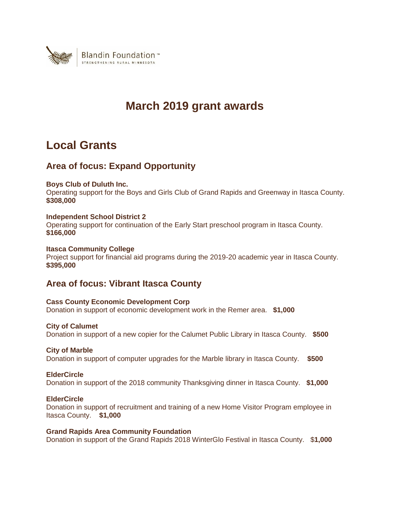

# **March 2019 grant awards**

# **Local Grants**

# **Area of focus: Expand Opportunity**

## **Boys Club of Duluth Inc.**

Operating support for the Boys and Girls Club of Grand Rapids and Greenway in Itasca County. **\$308,000**

## **Independent School District 2**

Operating support for continuation of the Early Start preschool program in Itasca County. **\$166,000**

#### **Itasca Community College**

Project support for financial aid programs during the 2019-20 academic year in Itasca County. **\$395,000**

# **Area of focus: Vibrant Itasca County**

**Cass County Economic Development Corp** Donation in support of economic development work in the Remer area. **\$1,000**

#### **City of Calumet**

Donation in support of a new copier for the Calumet Public Library in Itasca County. **\$500**

#### **City of Marble**

Donation in support of computer upgrades for the Marble library in Itasca County. **\$500**

#### **ElderCircle**

Donation in support of the 2018 community Thanksgiving dinner in Itasca County. **\$1,000**

#### **ElderCircle**

Donation in support of recruitment and training of a new Home Visitor Program employee in Itasca County. **\$1,000**

## **Grand Rapids Area Community Foundation**

Donation in support of the Grand Rapids 2018 WinterGlo Festival in Itasca County. \$**1,000**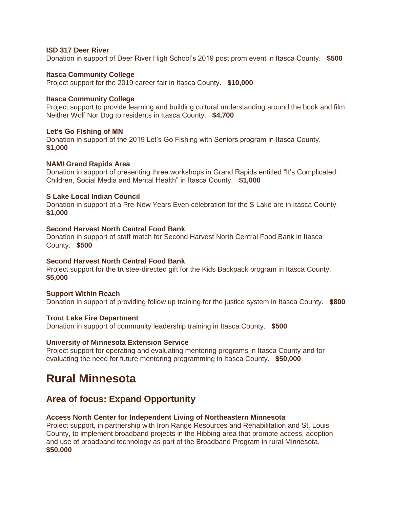## **ISD 317 Deer River**

Donation in support of Deer River High School's 2019 post prom event in Itasca County. **\$500**

#### **Itasca Community College**

Project support for the 2019 career fair in Itasca County. **\$10,000**

#### **Itasca Community College**

Project support to provide learning and building cultural understanding around the book and film Neither Wolf Nor Dog to residents in Itasca County. **\$4,700**

## **Let's Go Fishing of MN**

Donation in support of the 2019 Let's Go Fishing with Seniors program in Itasca County. **\$1,000**

## **NAMI Grand Rapids Area**

Donation in support of presenting three workshops in Grand Rapids entitled "It's Complicated: Children, Social Media and Mental Health" in Itasca County. **\$1,000**

## **S Lake Local Indian Council**

Donation in support of a Pre-New Years Even celebration for the S Lake are in Itasca County. **\$1,000**

#### **Second Harvest North Central Food Bank**

Donation in support of staff match for Second Harvest North Central Food Bank in Itasca County. **\$500**

#### **Second Harvest North Central Food Bank**

Project support for the trustee-directed gift for the Kids Backpack program in Itasca County. **\$5,000**

#### **Support Within Reach**

Donation in support of providing follow up training for the justice system in Itasca County. **\$800**

#### **Trout Lake Fire Department**

Donation in support of community leadership training in Itasca County. **\$500**

#### **University of Minnesota Extension Service**

Project support for operating and evaluating mentoring programs in Itasca County and for evaluating the need for future mentoring programming in Itasca County. **\$50,000**

# **Rural Minnesota**

# **Area of focus: Expand Opportunity**

#### **Access North Center for Independent Living of Northeastern Minnesota**

Project support, in partnership with Iron Range Resources and Rehabilitation and St. Louis County, to implement broadband projects in the Hibbing area that promote access, adoption and use of broadband technology as part of the Broadband Program in rural Minnesota. **\$50,000**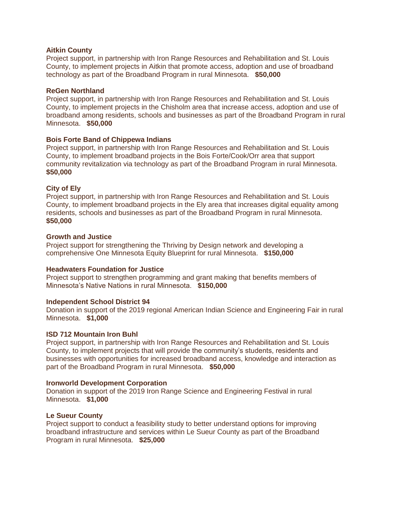#### **Aitkin County**

Project support, in partnership with Iron Range Resources and Rehabilitation and St. Louis County, to implement projects in Aitkin that promote access, adoption and use of broadband technology as part of the Broadband Program in rural Minnesota. **\$50,000**

#### **ReGen Northland**

Project support, in partnership with Iron Range Resources and Rehabilitation and St. Louis County, to implement projects in the Chisholm area that increase access, adoption and use of broadband among residents, schools and businesses as part of the Broadband Program in rural Minnesota. **\$50,000**

## **Bois Forte Band of Chippewa Indians**

Project support, in partnership with Iron Range Resources and Rehabilitation and St. Louis County, to implement broadband projects in the Bois Forte/Cook/Orr area that support community revitalization via technology as part of the Broadband Program in rural Minnesota. **\$50,000**

## **City of Ely**

Project support, in partnership with Iron Range Resources and Rehabilitation and St. Louis County, to implement broadband projects in the Ely area that increases digital equality among residents, schools and businesses as part of the Broadband Program in rural Minnesota. **\$50,000**

## **Growth and Justice**

Project support for strengthening the Thriving by Design network and developing a comprehensive One Minnesota Equity Blueprint for rural Minnesota. **\$150,000**

#### **Headwaters Foundation for Justice**

Project support to strengthen programming and grant making that benefits members of Minnesota's Native Nations in rural Minnesota. **\$150,000**

#### **Independent School District 94**

Donation in support of the 2019 regional American Indian Science and Engineering Fair in rural Minnesota. **\$1,000**

#### **ISD 712 Mountain Iron Buhl**

Project support, in partnership with Iron Range Resources and Rehabilitation and St. Louis County, to implement projects that will provide the community's students, residents and businesses with opportunities for increased broadband access, knowledge and interaction as part of the Broadband Program in rural Minnesota. **\$50,000**

#### **Ironworld Development Corporation**

Donation in support of the 2019 Iron Range Science and Engineering Festival in rural Minnesota. **\$1,000**

#### **Le Sueur County**

Project support to conduct a feasibility study to better understand options for improving broadband infrastructure and services within Le Sueur County as part of the Broadband Program in rural Minnesota. **\$25,000**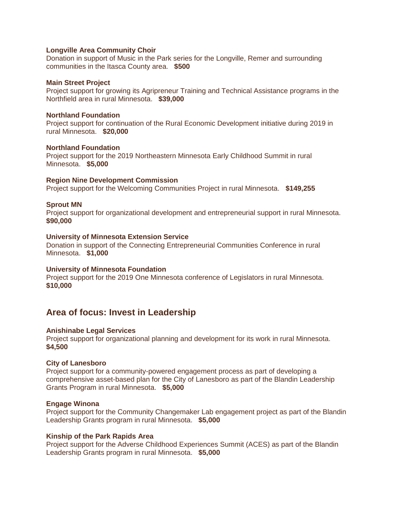#### **Longville Area Community Choir**

Donation in support of Music in the Park series for the Longville, Remer and surrounding communities in the Itasca County area. **\$500**

#### **Main Street Project**

Project support for growing its Agripreneur Training and Technical Assistance programs in the Northfield area in rural Minnesota. **\$39,000**

#### **Northland Foundation**

Project support for continuation of the Rural Economic Development initiative during 2019 in rural Minnesota. **\$20,000**

#### **Northland Foundation**

Project support for the 2019 Northeastern Minnesota Early Childhood Summit in rural Minnesota. **\$5,000**

#### **Region Nine Development Commission**

Project support for the Welcoming Communities Project in rural Minnesota. **\$149,255**

#### **Sprout MN**

Project support for organizational development and entrepreneurial support in rural Minnesota. **\$90,000**

#### **University of Minnesota Extension Service**

Donation in support of the Connecting Entrepreneurial Communities Conference in rural Minnesota. **\$1,000**

#### **University of Minnesota Foundation**

Project support for the 2019 One Minnesota conference of Legislators in rural Minnesota. **\$10,000**

## **Area of focus: Invest in Leadership**

#### **Anishinabe Legal Services**

Project support for organizational planning and development for its work in rural Minnesota. **\$4,500**

#### **City of Lanesboro**

Project support for a community-powered engagement process as part of developing a comprehensive asset-based plan for the City of Lanesboro as part of the Blandin Leadership Grants Program in rural Minnesota. **\$5,000**

#### **Engage Winona**

Project support for the Community Changemaker Lab engagement project as part of the Blandin Leadership Grants program in rural Minnesota. **\$5,000**

#### **Kinship of the Park Rapids Area**

Project support for the Adverse Childhood Experiences Summit (ACES) as part of the Blandin Leadership Grants program in rural Minnesota. **\$5,000**